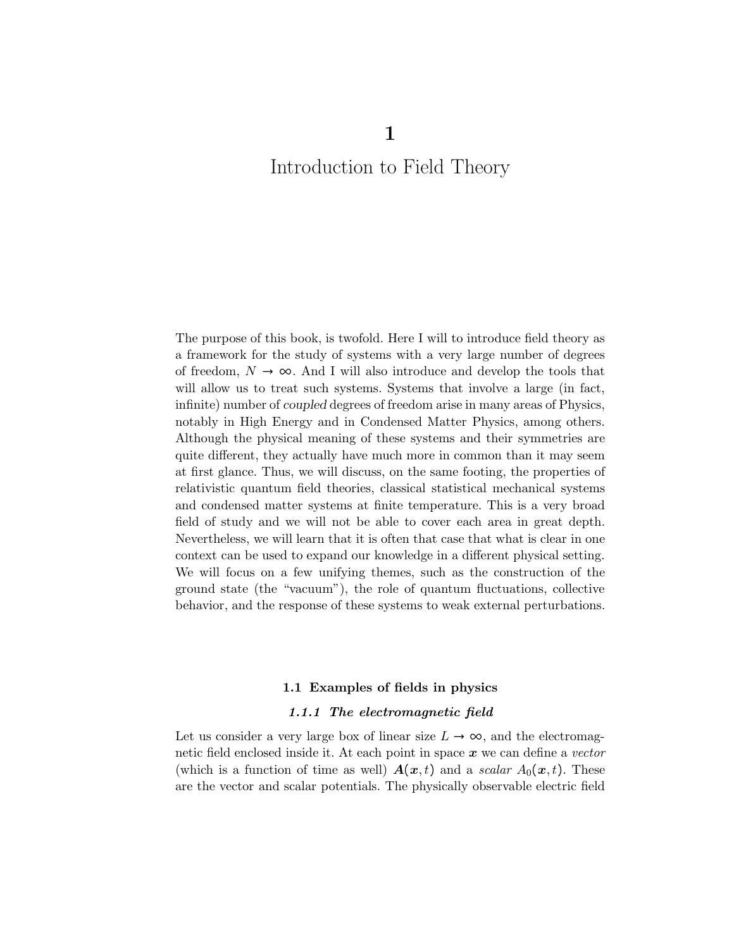# Introduction to Field Theory

The purpose of this book, is twofold. Here I will to introduce field theory as a framework for the study of systems with a very large number of degrees of freedom,  $N \to \infty$ . And I will also introduce and develop the tools that will allow us to treat such systems. Systems that involve a large (in fact, infinite) number of coupled degrees of freedom arise in many areas of Physics, notably in High Energy and in Condensed Matter Physics, among others. Although the physical meaning of these systems and their symmetries are quite different, they actually have much more in common than it may seem at first glance. Thus, we will discuss, on the same footing, the properties of relativistic quantum field theories, classical statistical mechanical systems and condensed matter systems at finite temperature. This is a very broad field of study and we will not be able to cover each area in great depth. Nevertheless, we will learn that it is often that case that what is clear in one context can be used to expand our knowledge in a different physical setting. We will focus on a few unifying themes, such as the construction of the ground state (the "vacuum"), the role of quantum fluctuations, collective behavior, and the response of these systems to weak external perturbations.

#### 1.1 Examples of fields in physics

## 1.1.1 The electromagnetic field

Let us consider a very large box of linear size  $L \to \infty$ , and the electromagnetic field enclosed inside it. At each point in space  $x$  we can define a *vector* (which is a function of time as well)  $A(x,t)$  and a scalar  $A_0(x,t)$ . These are the vector and scalar potentials. The physically observable electric field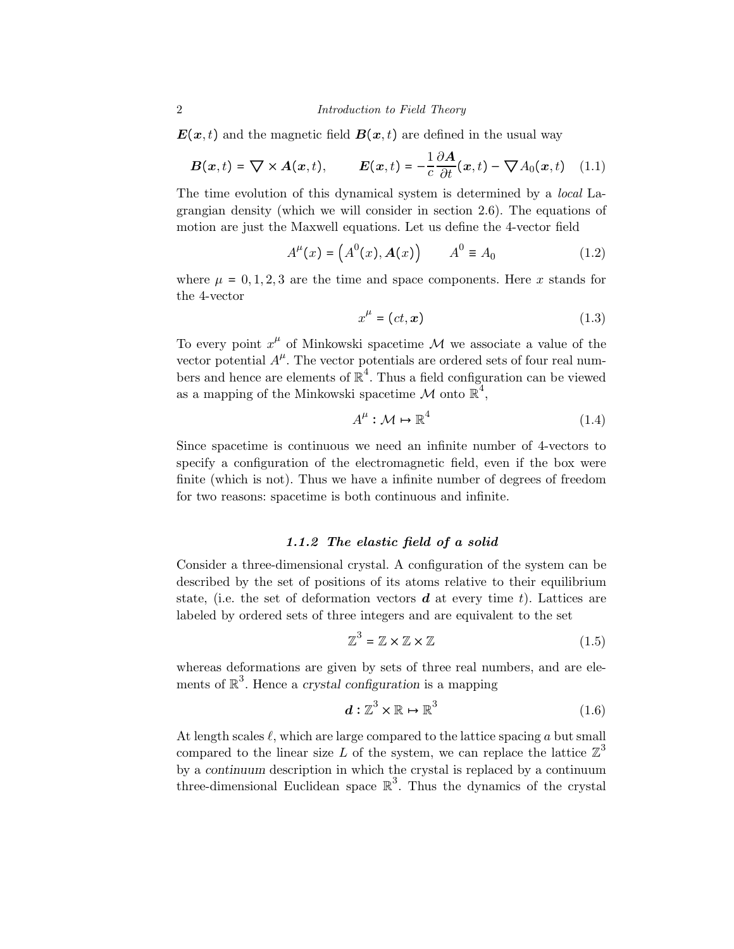## 2 Introduction to Field Theory

 $E(x, t)$  and the magnetic field  $B(x, t)$  are defined in the usual way

$$
\boldsymbol{B}(\boldsymbol{x},t)=\nabla\times\boldsymbol{A}(\boldsymbol{x},t),\qquad \boldsymbol{E}(\boldsymbol{x},t)=-\frac{1}{c}\frac{\partial\boldsymbol{A}}{\partial t}(\boldsymbol{x},t)-\nabla A_0(\boldsymbol{x},t)\quad(1.1)
$$

The time evolution of this dynamical system is determined by a local Lagrangian density (which we will consider in section 2.6). The equations of motion are just the Maxwell equations. Let us define the 4-vector field

$$
A^{\mu}(x) = (A^{0}(x), A(x)) \qquad A^{0} \equiv A_{0}
$$
 (1.2)

where  $\mu = 0, 1, 2, 3$  are the time and space components. Here x stands for the 4-vector

$$
x^{\mu} = (ct, \mathbf{x}) \tag{1.3}
$$

To every point  $x^{\mu}$  of Minkowski spacetime M we associate a value of the vector potential  $A^{\mu}$ . The vector potentials are ordered sets of four real numbers and hence are elements of  $\mathbb{R}^4$ . Thus a field configuration can be viewed as a mapping of the Minkowski spacetime  $\mathcal M$  onto  $\mathbb R^4,$ 

$$
A^{\mu} : \mathcal{M} \mapsto \mathbb{R}^4 \tag{1.4}
$$

Since spacetime is continuous we need an infinite number of 4-vectors to specify a configuration of the electromagnetic field, even if the box were finite (which is not). Thus we have a infinite number of degrees of freedom for two reasons: spacetime is both continuous and infinite.

# 1.1.2 The elastic field of a solid

Consider a three-dimensional crystal. A configuration of the system can be described by the set of positions of its atoms relative to their equilibrium state, (i.e. the set of deformation vectors  $\boldsymbol{d}$  at every time t). Lattices are labeled by ordered sets of three integers and are equivalent to the set

$$
\mathbb{Z}^3 = \mathbb{Z} \times \mathbb{Z} \times \mathbb{Z} \tag{1.5}
$$

whereas deformations are given by sets of three real numbers, and are elements of  $\mathbb{R}^3$ . Hence a crystal configuration is a mapping

$$
\mathbf{d} : \mathbb{Z}^3 \times \mathbb{R} \mapsto \mathbb{R}^3 \tag{1.6}
$$

At length scales  $\ell$ , which are large compared to the lattice spacing a but small compared to the linear size L of the system, we can replace the lattice  $\mathbb{Z}^3$ by a continuum description in which the crystal is replaced by a continuum three-dimensional Euclidean space  $\mathbb{R}^3$ . Thus the dynamics of the crystal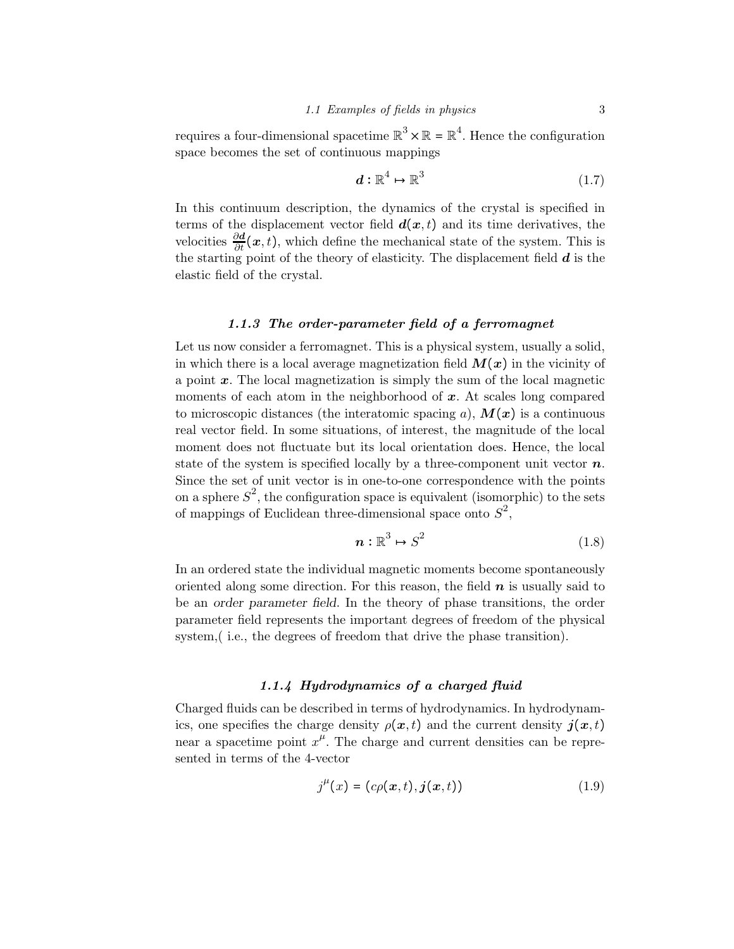requires a four-dimensional spacetime  $\mathbb{R}^3 \times \mathbb{R} = \mathbb{R}^4$ . Hence the configuration space becomes the set of continuous mappings

$$
\boldsymbol{d} : \mathbb{R}^4 \mapsto \mathbb{R}^3 \tag{1.7}
$$

In this continuum description, the dynamics of the crystal is specified in terms of the displacement vector field  $d(x, t)$  and its time derivatives, the velocities  $\frac{\partial d}{\partial t}(x,t)$ , which define the mechanical state of the system. This is the starting point of the theory of elasticity. The displacement field  $\boldsymbol{d}$  is the elastic field of the crystal.

# 1.1.3 The order-parameter field of a ferromagnet

Let us now consider a ferromagnet. This is a physical system, usually a solid, in which there is a local average magnetization field  $M(x)$  in the vicinity of a point  $x$ . The local magnetization is simply the sum of the local magnetic moments of each atom in the neighborhood of  $x$ . At scales long compared to microscopic distances (the interatomic spacing a),  $M(x)$  is a continuous real vector field. In some situations, of interest, the magnitude of the local moment does not fluctuate but its local orientation does. Hence, the local state of the system is specified locally by a three-component unit vector  $n$ . Since the set of unit vector is in one-to-one correspondence with the points on a sphere  $S^2$ , the configuration space is equivalent (isomorphic) to the sets of mappings of Euclidean three-dimensional space onto  $S^2$ ,

$$
\boldsymbol{n} : \mathbb{R}^3 \mapsto S^2 \tag{1.8}
$$

In an ordered state the individual magnetic moments become spontaneously oriented along some direction. For this reason, the field  $n$  is usually said to be an order parameter field. In the theory of phase transitions, the order parameter field represents the important degrees of freedom of the physical system,( i.e., the degrees of freedom that drive the phase transition).

# 1.1.4 Hydrodynamics of a charged fluid

Charged fluids can be described in terms of hydrodynamics. In hydrodynamics, one specifies the charge density  $\rho(x, t)$  and the current density  $j(x, t)$ near a spacetime point  $x^{\mu}$ . The charge and current densities can be represented in terms of the 4-vector

$$
j^{\mu}(x) = (c\rho(\boldsymbol{x},t), \boldsymbol{j}(\boldsymbol{x},t)) \tag{1.9}
$$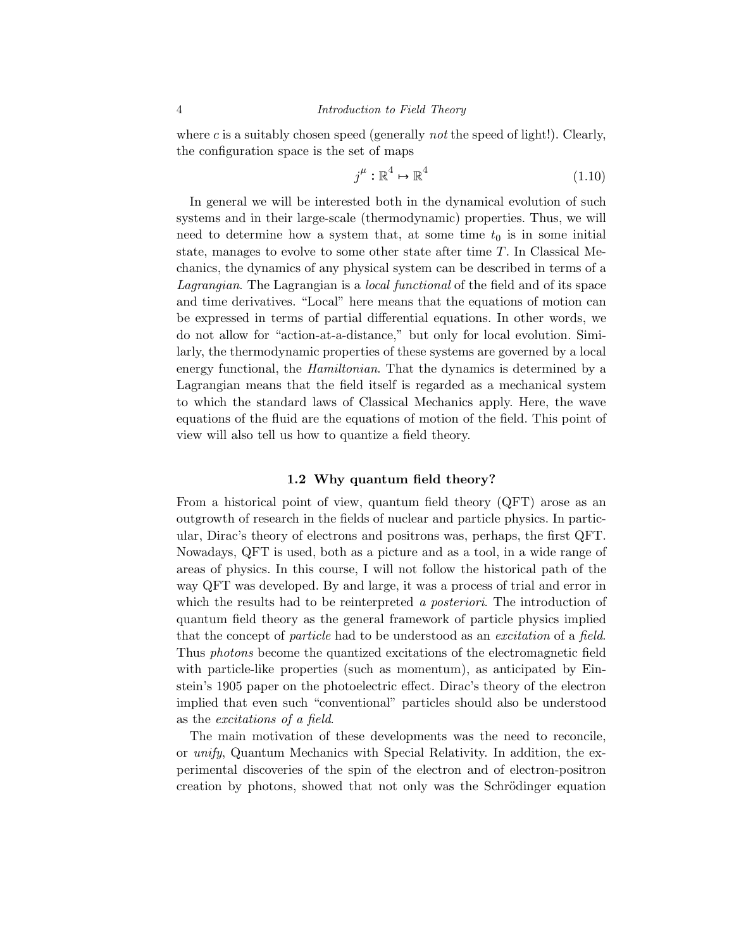where c is a suitably chosen speed (generally *not* the speed of light!). Clearly, the configuration space is the set of maps

$$
j^{\mu} : \mathbb{R}^4 \mapsto \mathbb{R}^4 \tag{1.10}
$$

In general we will be interested both in the dynamical evolution of such systems and in their large-scale (thermodynamic) properties. Thus, we will need to determine how a system that, at some time  $t_0$  is in some initial state, manages to evolve to some other state after time T. In Classical Mechanics, the dynamics of any physical system can be described in terms of a Lagrangian. The Lagrangian is a local functional of the field and of its space and time derivatives. "Local" here means that the equations of motion can be expressed in terms of partial differential equations. In other words, we do not allow for "action-at-a-distance," but only for local evolution. Similarly, the thermodynamic properties of these systems are governed by a local energy functional, the *Hamiltonian*. That the dynamics is determined by a Lagrangian means that the field itself is regarded as a mechanical system to which the standard laws of Classical Mechanics apply. Here, the wave equations of the fluid are the equations of motion of the field. This point of view will also tell us how to quantize a field theory.

# 1.2 Why quantum field theory?

From a historical point of view, quantum field theory (QFT) arose as an outgrowth of research in the fields of nuclear and particle physics. In particular, Dirac's theory of electrons and positrons was, perhaps, the first QFT. Nowadays, QFT is used, both as a picture and as a tool, in a wide range of areas of physics. In this course, I will not follow the historical path of the way QFT was developed. By and large, it was a process of trial and error in which the results had to be reinterpreted a *posteriori*. The introduction of quantum field theory as the general framework of particle physics implied that the concept of *particle* had to be understood as an *excitation* of a *field*. Thus photons become the quantized excitations of the electromagnetic field with particle-like properties (such as momentum), as anticipated by Einstein's 1905 paper on the photoelectric effect. Dirac's theory of the electron implied that even such "conventional" particles should also be understood as the excitations of a field.

The main motivation of these developments was the need to reconcile, or unify, Quantum Mechanics with Special Relativity. In addition, the experimental discoveries of the spin of the electron and of electron-positron creation by photons, showed that not only was the Schrödinger equation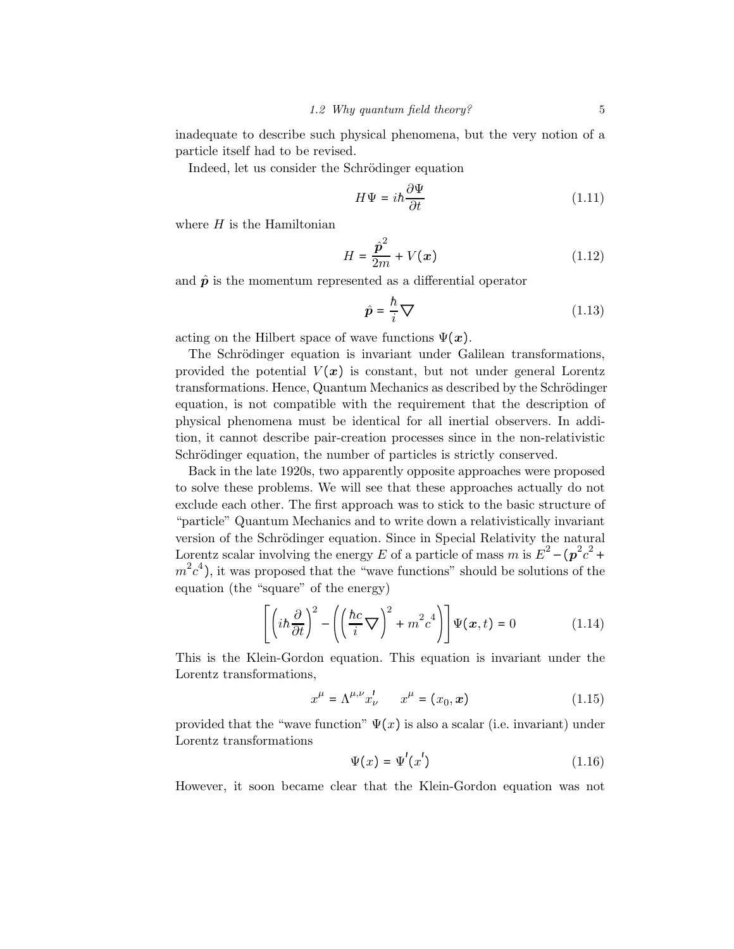inadequate to describe such physical phenomena, but the very notion of a particle itself had to be revised.

Indeed, let us consider the Schrödinger equation

$$
H\Psi = i\hbar \frac{\partial \Psi}{\partial t} \tag{1.11}
$$

where  $H$  is the Hamiltonian

$$
H = \frac{\hat{p}^2}{2m} + V(x)
$$
 (1.12)

and  $\hat{p}$  is the momentum represented as a differential operator

$$
\hat{\mathbf{p}} = \frac{\hbar}{i} \nabla \tag{1.13}
$$

acting on the Hilbert space of wave functions  $\Psi(x)$ .

The Schrödinger equation is invariant under Galilean transformations, provided the potential  $V(x)$  is constant, but not under general Lorentz transformations. Hence, Quantum Mechanics as described by the Schrödinger equation, is not compatible with the requirement that the description of physical phenomena must be identical for all inertial observers. In addition, it cannot describe pair-creation processes since in the non-relativistic Schrödinger equation, the number of particles is strictly conserved.

Back in the late 1920s, two apparently opposite approaches were proposed to solve these problems. We will see that these approaches actually do not exclude each other. The first approach was to stick to the basic structure of "particle" Quantum Mechanics and to write down a relativistically invariant version of the Schrödinger equation. Since in Special Relativity the natural Lorentz scalar involving the energy E of a particle of mass m is  $E^2 - (p^2c^2 + q^2)$  $m^2c^4$ ), it was proposed that the "wave functions" should be solutions of the equation (the "square" of the energy)

$$
\left[ \left( i\hbar \frac{\partial}{\partial t} \right)^2 - \left( \left( \frac{\hbar c}{i} \nabla \right)^2 + m^2 c^4 \right) \right] \Psi(x, t) = 0 \tag{1.14}
$$

This is the Klein-Gordon equation. This equation is invariant under the Lorentz transformations,

$$
x^{\mu} = \Lambda^{\mu,\nu} x_{\nu}^{\prime} \qquad x^{\mu} = (x_0, \mathbf{x}) \tag{1.15}
$$

provided that the "wave function"  $\Psi(x)$  is also a scalar (i.e. invariant) under Lorentz transformations

$$
\Psi(x) = \Psi'(x')
$$
\n(1.16)

However, it soon became clear that the Klein-Gordon equation was not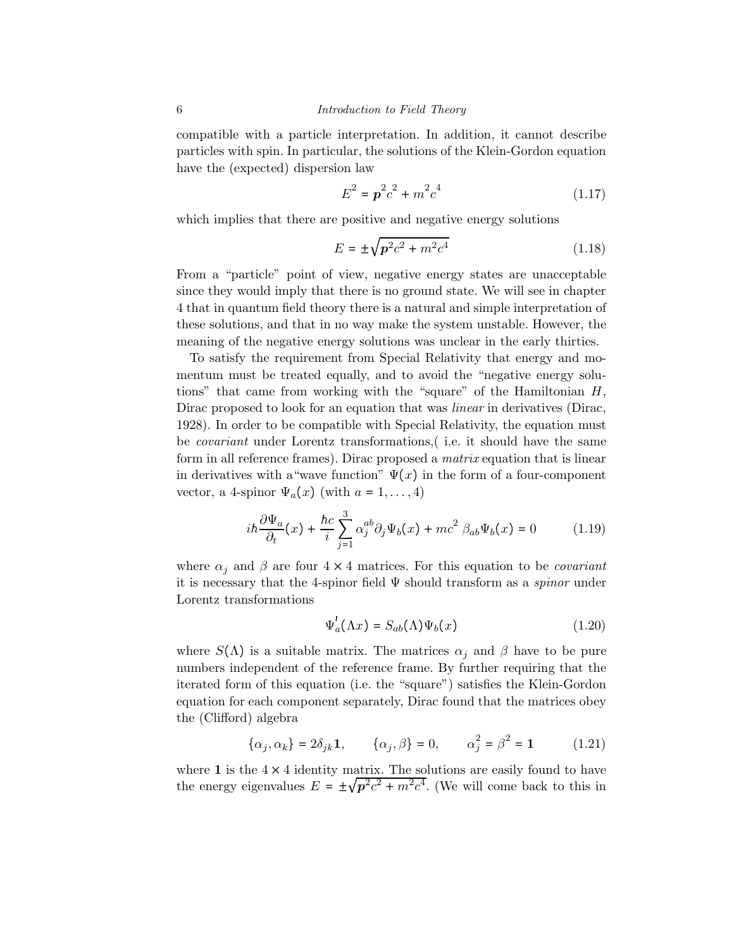compatible with a particle interpretation. In addition, it cannot describe particles with spin. In particular, the solutions of the Klein-Gordon equation have the (expected) dispersion law

$$
E^2 = p^2 c^2 + m^2 c^4 \tag{1.17}
$$

which implies that there are positive and negative energy solutions

$$
E = \pm \sqrt{p^2 c^2 + m^2 c^4} \tag{1.18}
$$

From a "particle" point of view, negative energy states are unacceptable since they would imply that there is no ground state. We will see in chapter 4 that in quantum field theory there is a natural and simple interpretation of these solutions, and that in no way make the system unstable. However, the meaning of the negative energy solutions was unclear in the early thirties.

To satisfy the requirement from Special Relativity that energy and momentum must be treated equally, and to avoid the "negative energy solutions" that came from working with the "square" of the Hamiltonian  $H$ , Dirac proposed to look for an equation that was *linear* in derivatives (Dirac, 1928). In order to be compatible with Special Relativity, the equation must be covariant under Lorentz transformations,( i.e. it should have the same form in all reference frames). Dirac proposed a matrix equation that is linear in derivatives with a "wave function"  $\Psi(x)$  in the form of a four-component vector, a 4-spinor  $\Psi_a(x)$  (with  $a = 1, \ldots, 4$ )

$$
i\hbar \frac{\partial \Psi_a}{\partial_t}(x) + \frac{\hbar c}{i} \sum_{j=1}^3 \alpha_j^{ab} \partial_j \Psi_b(x) + mc^2 \beta_{ab} \Psi_b(x) = 0 \tag{1.19}
$$

where  $\alpha_i$  and  $\beta$  are four  $4 \times 4$  matrices. For this equation to be *covariant* it is necessary that the 4-spinor field  $\Psi$  should transform as a *spinor* under Lorentz transformations

$$
\Psi_a'(\Lambda x) = S_{ab}(\Lambda)\Psi_b(x) \tag{1.20}
$$

where  $S(\Lambda)$  is a suitable matrix. The matrices  $\alpha_j$  and  $\beta$  have to be pure numbers independent of the reference frame. By further requiring that the iterated form of this equation (i.e. the "square") satisfies the Klein-Gordon equation for each component separately, Dirac found that the matrices obey the (Clifford) algebra

$$
\{\alpha_j, \alpha_k\} = 2\delta_{jk}\mathbf{1}, \qquad \{\alpha_j, \beta\} = 0, \qquad \alpha_j^2 = \beta^2 = \mathbf{1} \tag{1.21}
$$

where 1 is the  $4 \times 4$  identity matrix. The solutions are easily found to have the energy eigenvalues  $E = \pm \sqrt{p^2c^2 + m^2c^4}$ . (We will come back to this in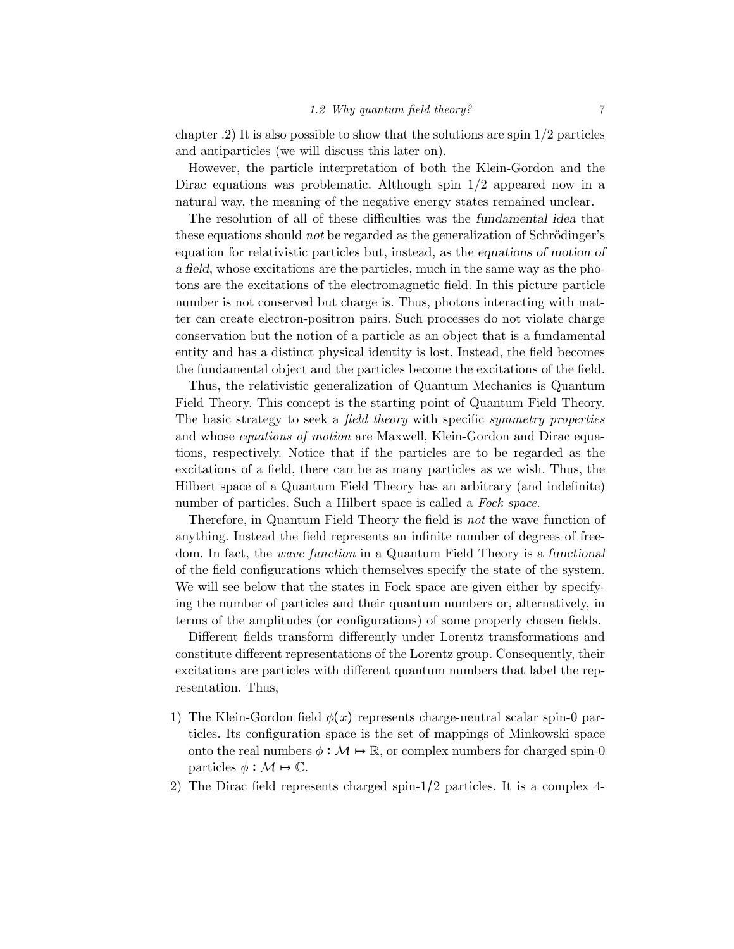chapter .2) It is also possible to show that the solutions are spin  $1/2$  particles and antiparticles (we will discuss this later on).

However, the particle interpretation of both the Klein-Gordon and the Dirac equations was problematic. Although spin 1/2 appeared now in a natural way, the meaning of the negative energy states remained unclear.

The resolution of all of these difficulties was the fundamental idea that these equations should *not* be regarded as the generalization of Schrödinger's equation for relativistic particles but, instead, as the equations of motion of a field, whose excitations are the particles, much in the same way as the photons are the excitations of the electromagnetic field. In this picture particle number is not conserved but charge is. Thus, photons interacting with matter can create electron-positron pairs. Such processes do not violate charge conservation but the notion of a particle as an object that is a fundamental entity and has a distinct physical identity is lost. Instead, the field becomes the fundamental object and the particles become the excitations of the field.

Thus, the relativistic generalization of Quantum Mechanics is Quantum Field Theory. This concept is the starting point of Quantum Field Theory. The basic strategy to seek a *field theory* with specific *symmetry properties* and whose equations of motion are Maxwell, Klein-Gordon and Dirac equations, respectively. Notice that if the particles are to be regarded as the excitations of a field, there can be as many particles as we wish. Thus, the Hilbert space of a Quantum Field Theory has an arbitrary (and indefinite) number of particles. Such a Hilbert space is called a Fock space.

Therefore, in Quantum Field Theory the field is not the wave function of anything. Instead the field represents an infinite number of degrees of freedom. In fact, the wave function in a Quantum Field Theory is a functional of the field configurations which themselves specify the state of the system. We will see below that the states in Fock space are given either by specifying the number of particles and their quantum numbers or, alternatively, in terms of the amplitudes (or configurations) of some properly chosen fields.

Different fields transform differently under Lorentz transformations and constitute different representations of the Lorentz group. Consequently, their excitations are particles with different quantum numbers that label the representation. Thus,

- 1) The Klein-Gordon field  $\phi(x)$  represents charge-neutral scalar spin-0 particles. Its configuration space is the set of mappings of Minkowski space onto the real numbers  $\phi : \mathcal{M} \to \mathbb{R}$ , or complex numbers for charged spin-0 particles  $\phi : \mathcal{M} \mapsto \mathbb{C}$ .
- 2) The Dirac field represents charged spin-1/2 particles. It is a complex 4-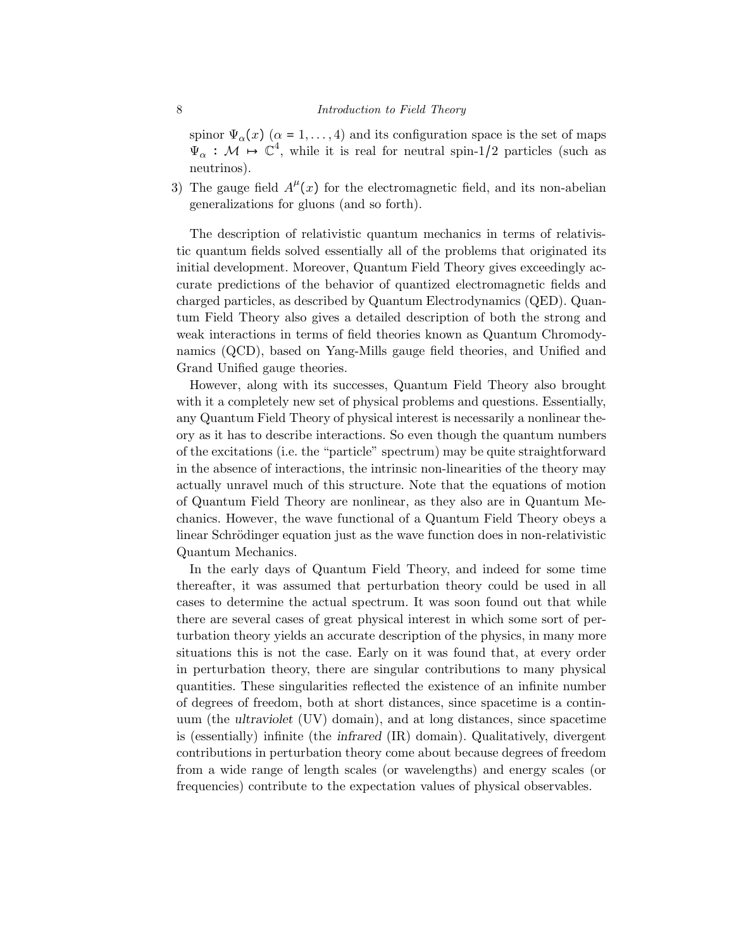# 8 Introduction to Field Theory

spinor  $\Psi_{\alpha}(x)$  ( $\alpha = 1, ..., 4$ ) and its configuration space is the set of maps  $\Psi_{\alpha} : \mathcal{M} \mapsto \mathbb{C}^{4}$ , while it is real for neutral spin-1/2 particles (such as neutrinos).

3) The gauge field  $A^{\mu}(x)$  for the electromagnetic field, and its non-abelian generalizations for gluons (and so forth).

The description of relativistic quantum mechanics in terms of relativistic quantum fields solved essentially all of the problems that originated its initial development. Moreover, Quantum Field Theory gives exceedingly accurate predictions of the behavior of quantized electromagnetic fields and charged particles, as described by Quantum Electrodynamics (QED). Quantum Field Theory also gives a detailed description of both the strong and weak interactions in terms of field theories known as Quantum Chromodynamics (QCD), based on Yang-Mills gauge field theories, and Unified and Grand Unified gauge theories.

However, along with its successes, Quantum Field Theory also brought with it a completely new set of physical problems and questions. Essentially, any Quantum Field Theory of physical interest is necessarily a nonlinear theory as it has to describe interactions. So even though the quantum numbers of the excitations (i.e. the "particle" spectrum) may be quite straightforward in the absence of interactions, the intrinsic non-linearities of the theory may actually unravel much of this structure. Note that the equations of motion of Quantum Field Theory are nonlinear, as they also are in Quantum Mechanics. However, the wave functional of a Quantum Field Theory obeys a linear Schrödinger equation just as the wave function does in non-relativistic Quantum Mechanics.

In the early days of Quantum Field Theory, and indeed for some time thereafter, it was assumed that perturbation theory could be used in all cases to determine the actual spectrum. It was soon found out that while there are several cases of great physical interest in which some sort of perturbation theory yields an accurate description of the physics, in many more situations this is not the case. Early on it was found that, at every order in perturbation theory, there are singular contributions to many physical quantities. These singularities reflected the existence of an infinite number of degrees of freedom, both at short distances, since spacetime is a continuum (the ultraviolet (UV) domain), and at long distances, since spacetime is (essentially) infinite (the infrared (IR) domain). Qualitatively, divergent contributions in perturbation theory come about because degrees of freedom from a wide range of length scales (or wavelengths) and energy scales (or frequencies) contribute to the expectation values of physical observables.